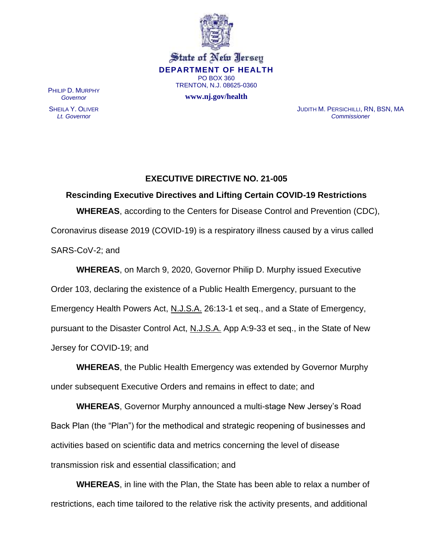

State of New Jersey **DEPARTMENT OF HEALTH** PO BOX 360 TRENTON, N.J. 08625-0360

**www.nj.gov/health**

PHILIP D. MURPHY *Governor*

SHEILA Y. OLIVER *Lt. Governor*

JUDITH M. PERSICHILLI, RN, BSN, MA *Commissioner*

## **EXECUTIVE DIRECTIVE NO. 21-005**

**Rescinding Executive Directives and Lifting Certain COVID-19 Restrictions WHEREAS**, according to the Centers for Disease Control and Prevention (CDC), Coronavirus disease 2019 (COVID-19) is a respiratory illness caused by a virus called SARS-CoV-2; and

**WHEREAS**, on March 9, 2020, Governor Philip D. Murphy issued Executive Order 103, declaring the existence of a Public Health Emergency, pursuant to the Emergency Health Powers Act, N.J.S.A. 26:13-1 et seq., and a State of Emergency, pursuant to the Disaster Control Act, N.J.S.A. App A:9-33 et seq., in the State of New Jersey for COVID-19; and

**WHEREAS**, the Public Health Emergency was extended by Governor Murphy under subsequent Executive Orders and remains in effect to date; and

**WHEREAS**, Governor Murphy announced a multi-stage New Jersey's Road Back Plan (the "Plan") for the methodical and strategic reopening of businesses and activities based on scientific data and metrics concerning the level of disease transmission risk and essential classification; and

**WHEREAS**, in line with the Plan, the State has been able to relax a number of restrictions, each time tailored to the relative risk the activity presents, and additional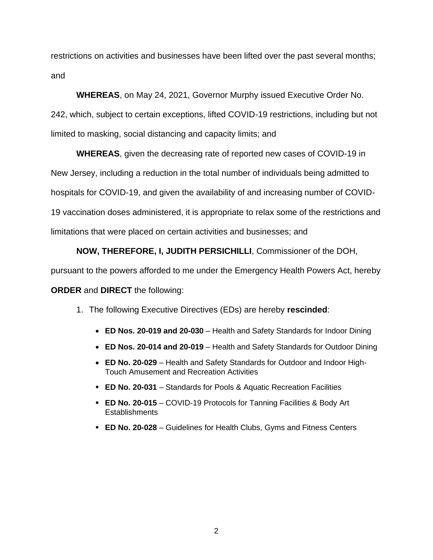restrictions on activities and businesses have been lifted over the past several months; and

**WHEREAS**, on May 24, 2021, Governor Murphy issued Executive Order No.

242, which, subject to certain exceptions, lifted COVID-19 restrictions, including but not limited to masking, social distancing and capacity limits; and

**WHEREAS**, given the decreasing rate of reported new cases of COVID-19 in New Jersey, including a reduction in the total number of individuals being admitted to hospitals for COVID-19, and given the availability of and increasing number of COVID-19 vaccination doses administered, it is appropriate to relax some of the restrictions and

limitations that were placed on certain activities and businesses; and

**NOW, THEREFORE, I, JUDITH PERSICHILLI**, Commissioner of the DOH,

pursuant to the powers afforded to me under the Emergency Health Powers Act, hereby

**ORDER** and **DIRECT** the following:

- 1. The following Executive Directives (EDs) are hereby **rescinded**:
	- **ED Nos. 20-019 and 20-030** Health and Safety Standards for Indoor Dining
	- **ED Nos. 20-014 and 20-019** Health and Safety Standards for Outdoor Dining
	- **ED No. 20-029** Health and Safety Standards for Outdoor and Indoor High-Touch Amusement and Recreation Activities
	- **ED No. 20-031** Standards for Pools & Aquatic Recreation Facilities
	- **ED No. 20-015** COVID-19 Protocols for Tanning Facilities & Body Art **Establishments**
	- **ED No. 20-028** Guidelines for Health Clubs, Gyms and Fitness Centers